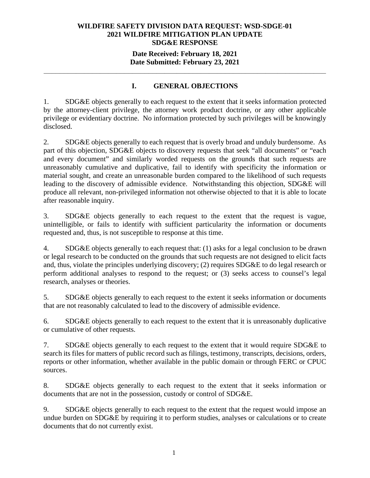#### **Date Received: February 18, 2021 Date Submitted: February 23, 2021**

**\_\_\_\_\_\_\_\_\_\_\_\_\_\_\_\_\_\_\_\_\_\_\_\_\_\_\_\_\_\_\_\_\_\_\_\_\_\_\_\_\_\_\_\_\_\_\_\_\_\_\_\_\_\_\_\_\_\_\_\_\_\_\_\_\_\_\_\_\_\_** 

# **I. GENERAL OBJECTIONS**

1. SDG&E objects generally to each request to the extent that it seeks information protected by the attorney-client privilege, the attorney work product doctrine, or any other applicable privilege or evidentiary doctrine. No information protected by such privileges will be knowingly disclosed.

2. SDG&E objects generally to each request that is overly broad and unduly burdensome. As part of this objection, SDG&E objects to discovery requests that seek "all documents" or "each and every document" and similarly worded requests on the grounds that such requests are unreasonably cumulative and duplicative, fail to identify with specificity the information or material sought, and create an unreasonable burden compared to the likelihood of such requests leading to the discovery of admissible evidence. Notwithstanding this objection, SDG&E will produce all relevant, non-privileged information not otherwise objected to that it is able to locate after reasonable inquiry.

3. SDG&E objects generally to each request to the extent that the request is vague, unintelligible, or fails to identify with sufficient particularity the information or documents requested and, thus, is not susceptible to response at this time.

4. SDG&E objects generally to each request that: (1) asks for a legal conclusion to be drawn or legal research to be conducted on the grounds that such requests are not designed to elicit facts and, thus, violate the principles underlying discovery; (2) requires SDG&E to do legal research or perform additional analyses to respond to the request; or (3) seeks access to counsel's legal research, analyses or theories.

5. SDG&E objects generally to each request to the extent it seeks information or documents that are not reasonably calculated to lead to the discovery of admissible evidence.

6. SDG&E objects generally to each request to the extent that it is unreasonably duplicative or cumulative of other requests.

7. SDG&E objects generally to each request to the extent that it would require SDG&E to search its files for matters of public record such as filings, testimony, transcripts, decisions, orders, reports or other information, whether available in the public domain or through FERC or CPUC sources.

8. SDG&E objects generally to each request to the extent that it seeks information or documents that are not in the possession, custody or control of SDG&E.

9. SDG&E objects generally to each request to the extent that the request would impose an undue burden on SDG&E by requiring it to perform studies, analyses or calculations or to create documents that do not currently exist.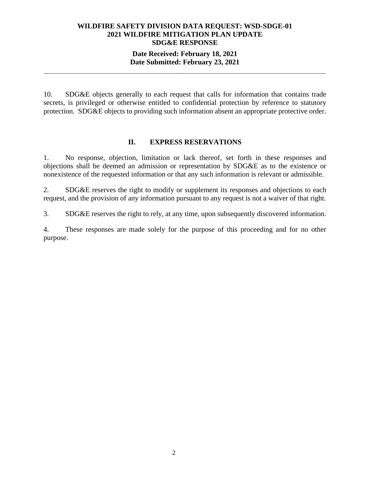#### **Date Received: February 18, 2021 Date Submitted: February 23, 2021 \_\_\_\_\_\_\_\_\_\_\_\_\_\_\_\_\_\_\_\_\_\_\_\_\_\_\_\_\_\_\_\_\_\_\_\_\_\_\_\_\_\_\_\_\_\_\_\_\_\_\_\_\_\_\_\_\_\_\_\_\_\_\_\_\_\_\_\_\_\_**

10. SDG&E objects generally to each request that calls for information that contains trade secrets, is privileged or otherwise entitled to confidential protection by reference to statutory protection. SDG&E objects to providing such information absent an appropriate protective order.

#### **II. EXPRESS RESERVATIONS**

1. No response, objection, limitation or lack thereof, set forth in these responses and objections shall be deemed an admission or representation by SDG&E as to the existence or nonexistence of the requested information or that any such information is relevant or admissible.

2. SDG&E reserves the right to modify or supplement its responses and objections to each request, and the provision of any information pursuant to any request is not a waiver of that right.

3. SDG&E reserves the right to rely, at any time, upon subsequently discovered information.

4. These responses are made solely for the purpose of this proceeding and for no other purpose.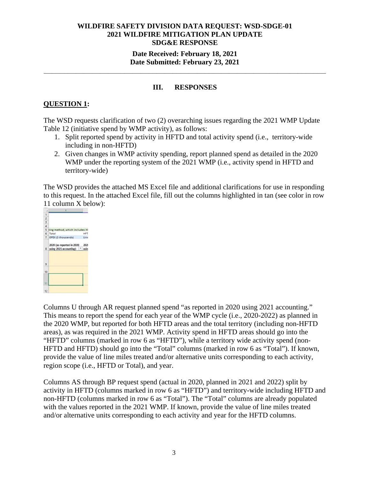### **Date Received: February 18, 2021 Date Submitted: February 23, 2021**

#### **III. RESPONSES**

**\_\_\_\_\_\_\_\_\_\_\_\_\_\_\_\_\_\_\_\_\_\_\_\_\_\_\_\_\_\_\_\_\_\_\_\_\_\_\_\_\_\_\_\_\_\_\_\_\_\_\_\_\_\_\_\_\_\_\_\_\_\_\_\_\_\_\_\_\_\_** 

## **QUESTION 1:**

The WSD requests clarification of two (2) overarching issues regarding the 2021 WMP Update Table 12 (initiative spend by WMP activity), as follows:

- 1. Split reported spend by activity in HFTD and total activity spend (i.e., territory-wide including in non-HFTD)
- 2. Given changes in WMP activity spending, report planned spend as detailed in the 2020 WMP under the reporting system of the 2021 WMP (i.e., activity spend in HFTD and territory-wide)

The WSD provides the attached MS Excel file and additional clarifications for use in responding to this request. In the attached Excel file, fill out the columns highlighted in tan (see color in row 11 column X below):



Columns U through AR request planned spend "as reported in 2020 using 2021 accounting." This means to report the spend for each year of the WMP cycle (i.e., 2020-2022) as planned in the 2020 WMP, but reported for both HFTD areas and the total territory (including non-HFTD areas), as was required in the 2021 WMP. Activity spend in HFTD areas should go into the "HFTD" columns (marked in row 6 as "HFTD"), while a territory wide activity spend (non-HFTD and HFTD) should go into the "Total" columns (marked in row 6 as "Total"). If known, provide the value of line miles treated and/or alternative units corresponding to each activity, region scope (i.e., HFTD or Total), and year.

Columns AS through BP request spend (actual in 2020, planned in 2021 and 2022) split by activity in HFTD (columns marked in row 6 as "HFTD") and territory-wide including HFTD and non-HFTD (columns marked in row 6 as "Total"). The "Total" columns are already populated with the values reported in the 2021 WMP. If known, provide the value of line miles treated and/or alternative units corresponding to each activity and year for the HFTD columns.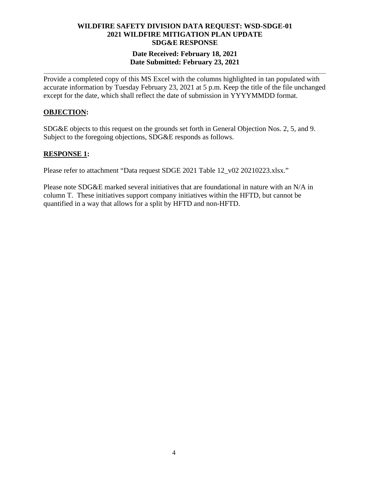## **Date Received: February 18, 2021 Date Submitted: February 23, 2021**

**\_\_\_\_\_\_\_\_\_\_\_\_\_\_\_\_\_\_\_\_\_\_\_\_\_\_\_\_\_\_\_\_\_\_\_\_\_\_\_\_\_\_\_\_\_\_\_\_\_\_\_\_\_\_\_\_\_\_\_\_\_\_\_\_\_\_\_\_\_\_** 

Provide a completed copy of this MS Excel with the columns highlighted in tan populated with accurate information by Tuesday February 23, 2021 at 5 p.m. Keep the title of the file unchanged except for the date, which shall reflect the date of submission in YYYYMMDD format.

#### **OBJECTION:**

SDG&E objects to this request on the grounds set forth in General Objection Nos. 2, 5, and 9. Subject to the foregoing objections, SDG&E responds as follows.

#### **RESPONSE 1:**

Please refer to attachment "Data request SDGE 2021 Table 12\_v02 20210223.xlsx."

Please note SDG&E marked several initiatives that are foundational in nature with an N/A in column T. These initiatives support company initiatives within the HFTD, but cannot be quantified in a way that allows for a split by HFTD and non-HFTD.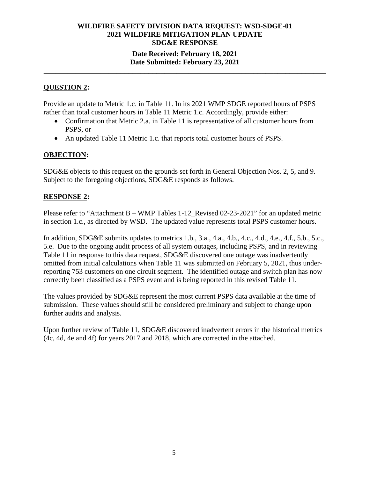## **WILDFIRE SAFETY DIVISION DATA REQUEST: WSD-SDGE-01 2021 WILDFIRE MITIGATION PLAN UPDATE SDG&E RESPONSE Date Received: February 18, 2021**

# **Date Submitted: February 23, 2021 \_\_\_\_\_\_\_\_\_\_\_\_\_\_\_\_\_\_\_\_\_\_\_\_\_\_\_\_\_\_\_\_\_\_\_\_\_\_\_\_\_\_\_\_\_\_\_\_\_\_\_\_\_\_\_\_\_\_\_\_\_\_\_\_\_\_\_\_\_\_**

#### **QUESTION 2:**

Provide an update to Metric 1.c. in Table 11. In its 2021 WMP SDGE reported hours of PSPS rather than total customer hours in Table 11 Metric 1.c. Accordingly, provide either:

- Confirmation that Metric 2.a. in Table 11 is representative of all customer hours from PSPS, or
- An updated Table 11 Metric 1.c. that reports total customer hours of PSPS.

#### **OBJECTION:**

SDG&E objects to this request on the grounds set forth in General Objection Nos. 2, 5, and 9. Subject to the foregoing objections, SDG&E responds as follows.

#### **RESPONSE 2:**

Please refer to "Attachment B – WMP Tables 1-12 Revised 02-23-2021" for an updated metric in section 1.c., as directed by WSD. The updated value represents total PSPS customer hours.

In addition, SDG&E submits updates to metrics 1.b., 3.a., 4.a., 4.b., 4.c., 4.d., 4.e., 4.f., 5.b., 5.c., 5.e. Due to the ongoing audit process of all system outages, including PSPS, and in reviewing Table 11 in response to this data request, SDG&E discovered one outage was inadvertently omitted from initial calculations when Table 11 was submitted on February 5, 2021, thus underreporting 753 customers on one circuit segment. The identified outage and switch plan has now correctly been classified as a PSPS event and is being reported in this revised Table 11.

The values provided by SDG&E represent the most current PSPS data available at the time of submission. These values should still be considered preliminary and subject to change upon further audits and analysis.

Upon further review of Table 11, SDG&E discovered inadvertent errors in the historical metrics (4c, 4d, 4e and 4f) for years 2017 and 2018, which are corrected in the attached.